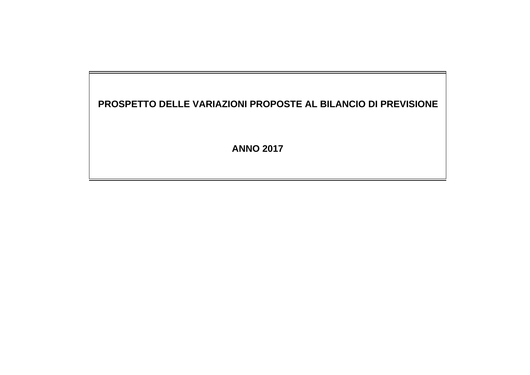### **PROSPETTO DELLE VARIAZIONI PROPOSTE AL BILANCIO DI PREVISIONE**

**ANNO 2017**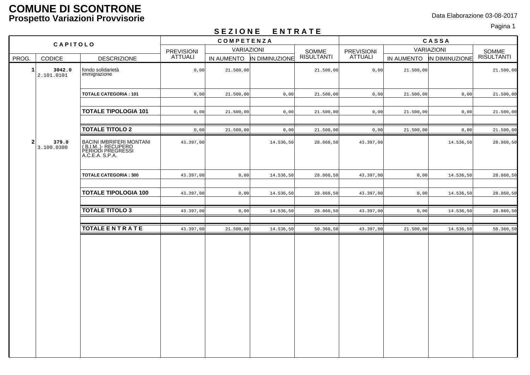#### **COMUNE DI SCONTRONE Prospetto Variazioni Provvisorie** Data Elaborazione 03-08-2017

# Pagina 1 **S E Z I O N E E N T R A T E**

|                                      |                                                                                         |                   | --------   |                | ----------          |                       |            |                |                     |
|--------------------------------------|-----------------------------------------------------------------------------------------|-------------------|------------|----------------|---------------------|-----------------------|------------|----------------|---------------------|
| CAPITOLO                             |                                                                                         | COMPETENZA        |            |                |                     | CASSA                 |            |                |                     |
|                                      |                                                                                         | <b>PREVISIONI</b> | VARIAZIONI |                |                     |                       | VARIAZIONI |                |                     |
| PROG.<br><b>CODICE</b>               | <b>DESCRIZIONE</b>                                                                      | <b>ATTUALI</b>    | IN AUMENTO | IN DIMINUZIONE | SOMME<br>RISULTANTI | PREVISIONI<br>ATTUALI | IN AUMENTO | IN DIMINUZIONE | SOMME<br>RISULTANTI |
| $\mathbf{1}$<br>3042.0<br>2.101.0101 | fondo solidarietà<br>immigrazione                                                       | 0,00              | 21.500,00  |                | 21.500,00           | 0,00                  | 21.500,00  |                | 21.500,00           |
|                                      | <b>TOTALE CATEGORIA: 101</b>                                                            | 0,00              | 21.500,00  | 0,00           | 21.500,00           | 0,00                  | 21.500,00  | 0,00           | 21.500,00           |
|                                      | <b>TOTALE TIPOLOGIA 101</b>                                                             | 0,00              | 21.500,00  | 0,00           | 21.500,00           | 0,00                  | 21.500,00  | 0,00           | 21.500,00           |
|                                      | <b>TOTALE TITOLO 2</b>                                                                  | 0,00              | 21.500,00  | 0,00           | 21.500,00           | 0,00                  | 21.500,00  | 0,00           | 21.500,00           |
| $\mathbf{2}$<br>379.0<br>3.100.0300  | BACINI IMBRIFERI MONTANI<br>(B.I.M. )- RECUPERO<br>PERIODI PREGRESSI<br>A.C.E.A. S.P.A. | 43.397,00         |            | 14.536,50      | 28.860,50           | 43.397,00             |            | 14.536,50      | 28.860,50           |
|                                      | <b>TOTALE CATEGORIA: 300</b>                                                            | 43.397,00         | 0,00       | 14.536,50      | 28.860,50           | 43.397,00             | 0,00       | 14.536,50      | 28.860,50           |
|                                      | <b>TOTALE TIPOLOGIA 100</b>                                                             | 43.397,00         | 0,00       | 14.536,50      | 28.860,50           | 43.397,00             | 0,00       | 14.536,50      | 28.860,50           |
|                                      | <b>TOTALE TITOLO 3</b>                                                                  | 43.397,00         | 0,00       | 14.536,50      | 28.860,50           | 43.397,00             | 0,00       | 14.536,50      | 28.860,50           |
|                                      |                                                                                         |                   |            |                |                     |                       |            |                |                     |
|                                      | <b>TOTALE ENTRATE</b>                                                                   | 43.397,00         | 21.500,00  | 14.536,50      | 50.360,50           | 43.397,00             | 21.500,00  | 14.536,50      | 50.360,50           |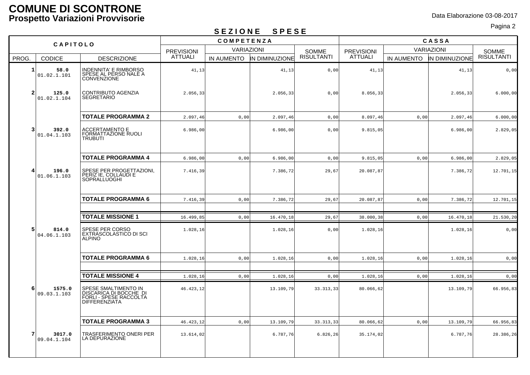#### **COMUNE DI SCONTRONE Prospetto Variazioni Provvisorie** Data Elaborazione 03-08-2017

# Pagina 2 **S E Z I O N E S P E S E**

|                |                       | -------<br>- -<br>$ -$<br>COMPETENZA                                                             |                |            |                | CASSA             |                   |            |                |                   |
|----------------|-----------------------|--------------------------------------------------------------------------------------------------|----------------|------------|----------------|-------------------|-------------------|------------|----------------|-------------------|
| CAPITOLO       |                       | <b>VARIAZIONI</b><br><b>PREVISIONI</b>                                                           |                |            | <b>SOMME</b>   | <b>PREVISIONI</b> | <b>VARIAZIONI</b> |            | SOMME          |                   |
| PROG.          | <b>CODICE</b>         | <b>DESCRIZIONE</b>                                                                               | <b>ATTUALI</b> | IN AUMENTO | IN DIMINUZIONE | <b>RISULTANTI</b> | <b>ATTUALI</b>    | IN AUMENTO | IN DIMINUZIONE | <b>RISULTANTI</b> |
| 1              | 58.0<br>01.02.1.101   | INDENNITA' E RIMBORSO<br>SPESE AL PERSO NALE A<br>CONVENZIONE                                    | 41,13          |            | 41,13          | 0,00              | 41,13             |            | 41,13          | 0,00              |
| $\overline{a}$ | 125.0<br>01.02.1.104  | <b>CONTRIBUTO AGENZIA</b><br><b>SEGRETARIO</b>                                                   | 2.056,33       |            | 2.056,33       | 0,00              | 8.056,33          |            | 2.056, 33      | 6.000,00          |
|                |                       | <b>TOTALE PROGRAMMA 2</b>                                                                        | 2.097,46       | 0,00       | 2.097,46       | 0,00              | 8.097,46          | 0,00       | 2.097, 46      | 6.000,00          |
| 3              | 392.0<br>01.04.1.103  | ACCERTAMENTO E<br> FORMATTAZIONE RUOLI<br> TRUBUTI                                               | 6.986,00       |            | 6.986,00       | 0,00              | 9.815,05          |            | 6.986,00       | 2.829,05          |
|                |                       | <b>TOTALE PROGRAMMA 4</b>                                                                        | 6.986,00       | 0,00       | 6.986,00       | 0,00              | 9.815,05          | 0,00       | 6.986,00       | 2.829,05          |
| 4              | 196.0<br>01.06.1.103  | SPESE PER PROGETTAZIONI,<br>PERIZ IE, COLLAUDI E<br>SOPRALLUOGHI                                 | 7.416,39       |            | 7.386,72       | 29,67             | 20.087,87         |            | 7.386, 72      | 12.701,15         |
|                |                       | <b>TOTALE PROGRAMMA 6</b>                                                                        | 7.416,39       | 0,00       | 7.386,72       | 29,67             | 20.087,87         | 0,00       | 7.386, 72      | 12.701,15         |
|                |                       | <b>TOTALE MISSIONE 1</b>                                                                         | 16.499,85      | 0,00       | 16.470,18      | 29,67             | 38.000,38         | 0,00       | 16.470,18      | 21.530,20         |
| 5              | 814.0<br>04.06.1.103  | SPESE PER CORSO<br>EXTRASCOLASTICO DI SCI<br><b>ALPINO</b>                                       | 1.028,16       |            | 1.028,16       | 0,00              | 1.028,16          |            | 1.028,16       | 0,00              |
|                |                       | <b>TOTALE PROGRAMMA 6</b>                                                                        | 1.028,16       | 0,00       | 1.028,16       | 0,00              | 1.028,16          | 0,00       | 1.028, 16      | 0,00              |
|                |                       |                                                                                                  |                |            |                |                   |                   |            |                |                   |
|                |                       | <b>TOTALE MISSIONE 4</b>                                                                         | 1.028,16       | 0,00       | 1.028,16       | 0,00              | 1.028,16          | 0,00       | 1.028, 16      | 0,00              |
| 6              | 1575.0<br>09.03.1.103 | SPESE SMALTIMENTO IN<br>DISCARICA DI BOCCHE DI<br>FORLI - SPESE RACCOLTA<br><b>DIFFERENZIATA</b> | 46.423,12      |            | 13.109,79      | 33.313,33         | 80.066,62         |            | 13.109,79      | 66.956,83         |
|                |                       | <b>TOTALE PROGRAMMA 3</b>                                                                        | 46.423,12      | 0,00       | 13.109,79      | 33.313,33         | 80.066,62         | 0,00       | 13.109,79      | 66.956,83         |
| 7              | 3017.0<br>09.04.1.104 | TRASFERIMENTO ONERI PER<br>LA DEPURAZIONE                                                        | 13.614,02      |            | 6.787,76       | 6.826,26          | 35.174,02         |            | 6.787,76       | 28.386,26         |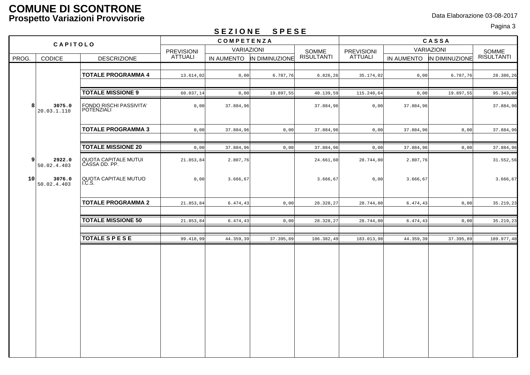#### **COMUNE DI SCONTRONE Prospetto Variazioni Provvisorie** Data Elaborazione 03-08-2017

# Pagina 3 **S E Z I O N E S P E S E**

|          |                                         |                                              |                   | 0 L L I V II L    | 0 I L U L      |                   |                   |           |                           |                     |
|----------|-----------------------------------------|----------------------------------------------|-------------------|-------------------|----------------|-------------------|-------------------|-----------|---------------------------|---------------------|
|          |                                         |                                              |                   | COMPETENZA        |                |                   |                   |           | CASSA                     |                     |
| CAPITOLO |                                         |                                              | <b>PREVISIONI</b> | <b>VARIAZIONI</b> |                | SOMME             | <b>PREVISIONI</b> |           | VARIAZIONI                |                     |
| PROG.    | <b>CODICE</b>                           | <b>DESCRIZIONE</b>                           | ATTUALI           | IN AUMENTO        | IN DIMINUZIONE | <b>RISULTANTI</b> | <b>ATTUALI</b>    |           | IN AUMENTO IN DIMINUZIONE | SOMME<br>RISULTANTI |
|          |                                         |                                              |                   |                   |                |                   |                   |           |                           |                     |
|          |                                         | <b>TOTALE PROGRAMMA 4</b>                    | 13.614,02         | 0,00              | 6.787,76       | 6.826, 26         | 35.174,02         | 0,00      | 6.787,76                  | 28.386,26           |
|          |                                         |                                              |                   |                   |                |                   |                   |           |                           |                     |
|          |                                         | <b>TOTALE MISSIONE 9</b>                     | 60.037,14         | 0,00              | 19.897,55      | 40.139,59         | 115.240,64        | 0,00      | 19.897,55                 | 95.343,09           |
|          | 8 <sup>1</sup><br>3075.0<br>20.03.1.110 | FONDO RISCHI PASSIVITA'<br>POTENZIALI        | 0,00              | 37.884,96         |                | 37.884,96         | 0,00              | 37.884,96 |                           | 37.884,96           |
|          |                                         | <b>TOTALE PROGRAMMA 3</b>                    | 0,00              | 37.884,96         | 0,00           | 37.884,96         | 0,00              | 37.884,96 | 0,00                      | 37.884,96           |
|          |                                         | <b>TOTALE MISSIONE 20</b>                    | 0,00              | 37.884,96         | 0,00           | 37.884,96         | 0,00              | 37.884,96 | 0,00                      | 37.884,96           |
|          | $\overline{9}$<br>2922.0<br>50.02.4.403 | <b>QUOTA CAPITALE MUTUI</b><br>CASSA DD. PP. | 21.853,84         | 2.807,76          |                | 24.661,60         | 28.744,80         | 2.807,76  |                           | 31.552,56           |
| 10       | 3076.0<br>50.02.4.403                   | QUOTA CAPITALE MUTUO<br>I.C.S.               | 0,00              | 3.666,67          |                | 3.666, 67         | 0,00              | 3.666, 67 |                           | 3.666,67            |
|          |                                         | <b>TOTALE PROGRAMMA 2</b>                    | 21.853,84         | 6.474,43          | 0,00           | 28.328,27         | 28.744,80         | 6.474, 43 | 0,00                      | 35.219,23           |
|          |                                         | <b>TOTALE MISSIONE 50</b>                    | 21.853,84         | 6.474,43          | 0,00           | 28.328,27         | 28.744,80         | 6.474, 43 | 0,00                      | 35.219,23           |
|          |                                         | <b>TOTALE S P E S E</b>                      | 99.418,99         | 44.359,39         | 37.395,89      | 106.382,49        | 183.013,98        | 44.359,39 | 37.395,89                 | 189.977,48          |
|          |                                         |                                              |                   |                   |                |                   |                   |           |                           |                     |